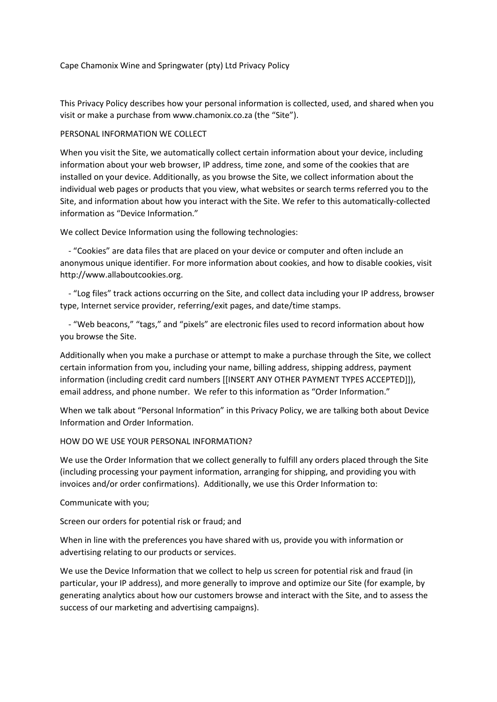Cape Chamonix Wine and Springwater (pty) Ltd Privacy Policy

This Privacy Policy describes how your personal information is collected, used, and shared when you visit or make a purchase from www.chamonix.co.za (the "Site").

## PERSONAL INFORMATION WE COLLECT

When you visit the Site, we automatically collect certain information about your device, including information about your web browser, IP address, time zone, and some of the cookies that are installed on your device. Additionally, as you browse the Site, we collect information about the individual web pages or products that you view, what websites or search terms referred you to the Site, and information about how you interact with the Site. We refer to this automatically-collected information as "Device Information."

We collect Device Information using the following technologies:

 - "Cookies" are data files that are placed on your device or computer and often include an anonymous unique identifier. For more information about cookies, and how to disable cookies, visit http://www.allaboutcookies.org.

 - "Log files" track actions occurring on the Site, and collect data including your IP address, browser type, Internet service provider, referring/exit pages, and date/time stamps.

 - "Web beacons," "tags," and "pixels" are electronic files used to record information about how you browse the Site.

Additionally when you make a purchase or attempt to make a purchase through the Site, we collect certain information from you, including your name, billing address, shipping address, payment information (including credit card numbers [[INSERT ANY OTHER PAYMENT TYPES ACCEPTED]]), email address, and phone number. We refer to this information as "Order Information."

When we talk about "Personal Information" in this Privacy Policy, we are talking both about Device Information and Order Information.

HOW DO WE USE YOUR PERSONAL INFORMATION?

We use the Order Information that we collect generally to fulfill any orders placed through the Site (including processing your payment information, arranging for shipping, and providing you with invoices and/or order confirmations). Additionally, we use this Order Information to:

Communicate with you;

Screen our orders for potential risk or fraud; and

When in line with the preferences you have shared with us, provide you with information or advertising relating to our products or services.

We use the Device Information that we collect to help us screen for potential risk and fraud (in particular, your IP address), and more generally to improve and optimize our Site (for example, by generating analytics about how our customers browse and interact with the Site, and to assess the success of our marketing and advertising campaigns).